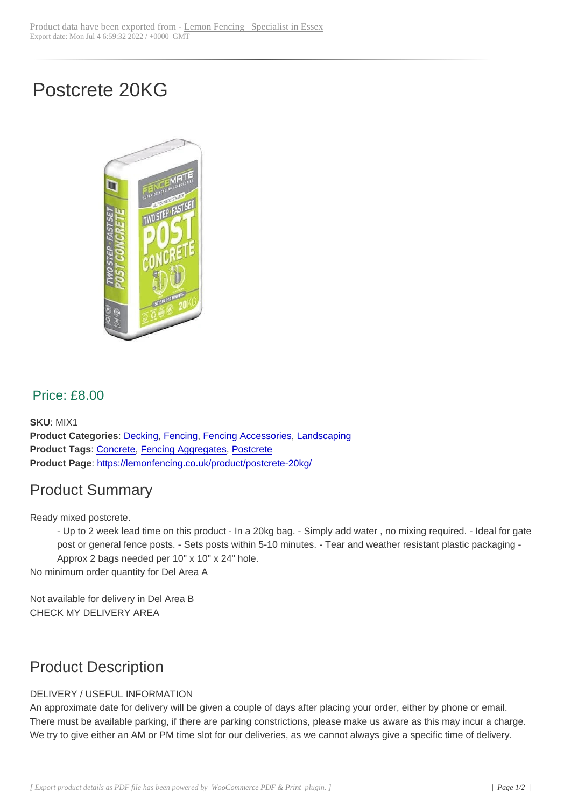# Postcrete 20KG



#### Price: £8.00

**SKU**: MIX1 **Product Categories**: Decking, Fencing, Fencing Accessories, Landscaping **Product Tags**: Concrete, Fencing Aggregates, Postcrete **Product Page**: https://lemonfencing.co.uk/product/postcrete-20kg/

### Product [Summ](https://lemonfencing.co.uk/product-tag/concrete/)[ary](https://lemonfencing.co.uk/shop/decking/)

Ready mixed p[ostcrete.](https://lemonfencing.co.uk/product/postcrete-20kg/)

- Up to 2 week lead time on this product - In a 20kg bag. - Simply add water , no mixing required. - Ideal for gate post or general fence posts. - Sets posts within 5-10 minutes. - Tear and weather resistant plastic packaging - Approx 2 bags needed per 10" x 10" x 24" hole.

No minimum order quantity for Del Area A

Not available for delivery in Del Area B CHECK MY DELIVERY AREA

### Product Description

#### DELIVERY / USEFUL INFORMATION

An approximate date for delivery will be given a couple of days after placing your order, either by phone or email. There must be available parking, if there are parking constrictions, please make us aware as this may incur a charge. We try to give either an AM or PM time slot for our deliveries, as we cannot always give a specific time of delivery.